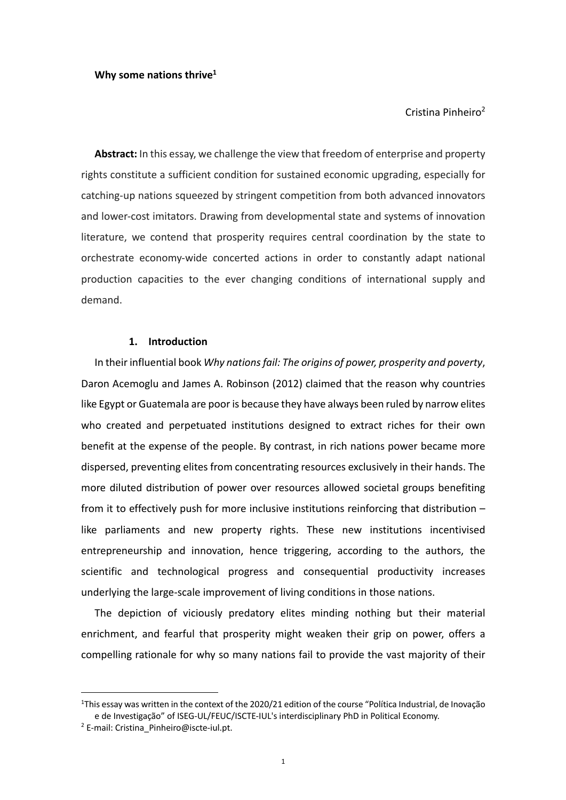Cristina Pinheiro2

**Abstract:** In this essay, we challenge the view that freedom of enterprise and property rights constitute a sufficient condition for sustained economic upgrading, especially for catching-up nations squeezed by stringent competition from both advanced innovators and lower-cost imitators. Drawing from developmental state and systems of innovation literature, we contend that prosperity requires central coordination by the state to orchestrate economy-wide concerted actions in order to constantly adapt national production capacities to the ever changing conditions of international supply and demand.

# **1. Introduction**

In their influential book *Why nations fail: The origins of power, prosperity and poverty*, Daron Acemoglu and James A. Robinson (2012) claimed that the reason why countries like Egypt or Guatemala are poor is because they have always been ruled by narrow elites who created and perpetuated institutions designed to extract riches for their own benefit at the expense of the people. By contrast, in rich nations power became more dispersed, preventing elites from concentrating resources exclusively in their hands. The more diluted distribution of power over resources allowed societal groups benefiting from it to effectively push for more inclusive institutions reinforcing that distribution – like parliaments and new property rights. These new institutions incentivised entrepreneurship and innovation, hence triggering, according to the authors, the scientific and technological progress and consequential productivity increases underlying the large-scale improvement of living conditions in those nations.

The depiction of viciously predatory elites minding nothing but their material enrichment, and fearful that prosperity might weaken their grip on power, offers a compelling rationale for why so many nations fail to provide the vast majority of their

<sup>&</sup>lt;sup>1</sup>This essay was written in the context of the 2020/21 edition of the course "Política Industrial, de Inovação e de Investigação" of ISEG-UL/FEUC/ISCTE-IUL's interdisciplinary PhD in Political Economy.

<sup>2</sup> E-mail: Cristina\_Pinheiro@iscte-iul.pt.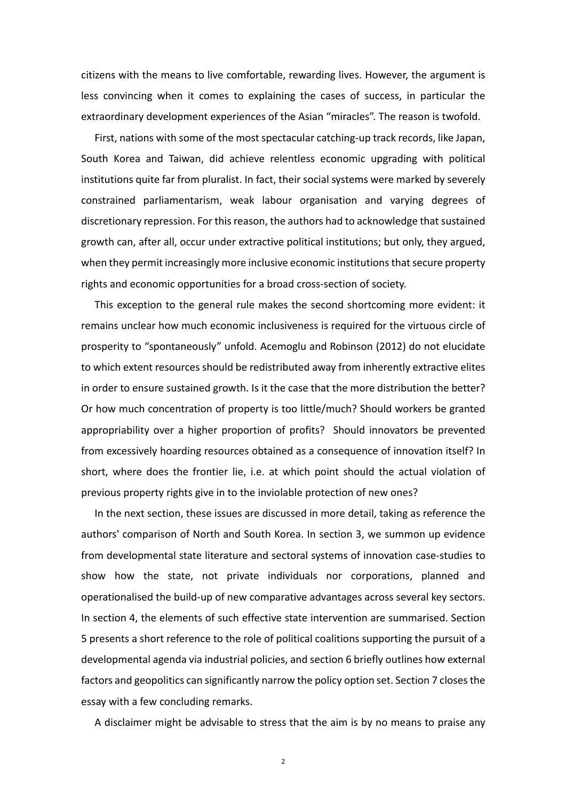citizens with the means to live comfortable, rewarding lives. However, the argument is less convincing when it comes to explaining the cases of success, in particular the extraordinary development experiences of the Asian "miracles". The reason is twofold.

First, nations with some of the most spectacular catching-up track records, like Japan, South Korea and Taiwan, did achieve relentless economic upgrading with political institutions quite far from pluralist. In fact, their social systems were marked by severely constrained parliamentarism, weak labour organisation and varying degrees of discretionary repression. For this reason, the authors had to acknowledge that sustained growth can, after all, occur under extractive political institutions; but only, they argued, when they permit increasingly more inclusive economic institutions that secure property rights and economic opportunities for a broad cross-section of society.

This exception to the general rule makes the second shortcoming more evident: it remains unclear how much economic inclusiveness is required for the virtuous circle of prosperity to "spontaneously" unfold. Acemoglu and Robinson (2012) do not elucidate to which extent resources should be redistributed away from inherently extractive elites in order to ensure sustained growth. Is it the case that the more distribution the better? Or how much concentration of property is too little/much? Should workers be granted appropriability over a higher proportion of profits? Should innovators be prevented from excessively hoarding resources obtained as a consequence of innovation itself? In short, where does the frontier lie, i.e. at which point should the actual violation of previous property rights give in to the inviolable protection of new ones?

In the next section, these issues are discussed in more detail, taking as reference the authors' comparison of North and South Korea. In section 3, we summon up evidence from developmental state literature and sectoral systems of innovation case-studies to show how the state, not private individuals nor corporations, planned and operationalised the build-up of new comparative advantages across several key sectors. In section 4, the elements of such effective state intervention are summarised. Section 5 presents a short reference to the role of political coalitions supporting the pursuit of a developmental agenda via industrial policies, and section 6 briefly outlines how external factors and geopolitics can significantly narrow the policy option set. Section 7 closes the essay with a few concluding remarks.

A disclaimer might be advisable to stress that the aim is by no means to praise any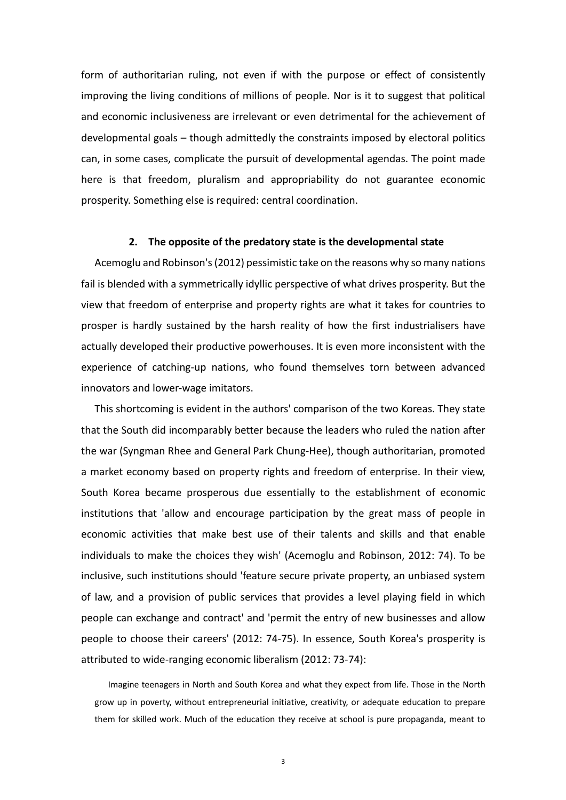form of authoritarian ruling, not even if with the purpose or effect of consistently improving the living conditions of millions of people. Nor is it to suggest that political and economic inclusiveness are irrelevant or even detrimental for the achievement of developmental goals – though admittedly the constraints imposed by electoral politics can, in some cases, complicate the pursuit of developmental agendas. The point made here is that freedom, pluralism and appropriability do not guarantee economic prosperity. Something else is required: central coordination.

#### **2. The opposite of the predatory state is the developmental state**

Acemoglu and Robinson's (2012) pessimistic take on the reasons why so many nations fail is blended with a symmetrically idyllic perspective of what drives prosperity. But the view that freedom of enterprise and property rights are what it takes for countries to prosper is hardly sustained by the harsh reality of how the first industrialisers have actually developed their productive powerhouses. It is even more inconsistent with the experience of catching-up nations, who found themselves torn between advanced innovators and lower-wage imitators.

This shortcoming is evident in the authors' comparison of the two Koreas. They state that the South did incomparably better because the leaders who ruled the nation after the war (Syngman Rhee and General Park Chung-Hee), though authoritarian, promoted a market economy based on property rights and freedom of enterprise. In their view, South Korea became prosperous due essentially to the establishment of economic institutions that 'allow and encourage participation by the great mass of people in economic activities that make best use of their talents and skills and that enable individuals to make the choices they wish' (Acemoglu and Robinson, 2012: 74). To be inclusive, such institutions should 'feature secure private property, an unbiased system of law, and a provision of public services that provides a level playing field in which people can exchange and contract' and 'permit the entry of new businesses and allow people to choose their careers' (2012: 74-75). In essence, South Korea's prosperity is attributed to wide-ranging economic liberalism (2012: 73-74):

Imagine teenagers in North and South Korea and what they expect from life. Those in the North grow up in poverty, without entrepreneurial initiative, creativity, or adequate education to prepare them for skilled work. Much of the education they receive at school is pure propaganda, meant to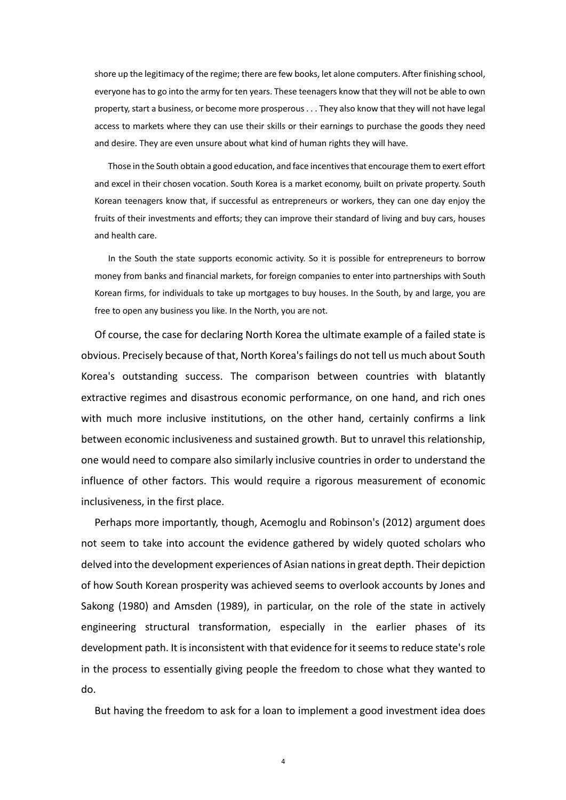shore up the legitimacy of the regime; there are few books, let alone computers. After finishing school, everyone has to go into the army for ten years. These teenagers know that they will not be able to own property, start a business, or become more prosperous . . . They also know that they will not have legal access to markets where they can use their skills or their earnings to purchase the goods they need and desire. They are even unsure about what kind of human rights they will have.

Those in the South obtain a good education, and face incentives that encourage them to exert effort and excel in their chosen vocation. South Korea is a market economy, built on private property. South Korean teenagers know that, if successful as entrepreneurs or workers, they can one day enjoy the fruits of their investments and efforts; they can improve their standard of living and buy cars, houses and health care.

In the South the state supports economic activity. So it is possible for entrepreneurs to borrow money from banks and financial markets, for foreign companies to enter into partnerships with South Korean firms, for individuals to take up mortgages to buy houses. In the South, by and large, you are free to open any business you like. In the North, you are not.

Of course, the case for declaring North Korea the ultimate example of a failed state is obvious. Precisely because of that, North Korea's failings do not tell us much about South Korea's outstanding success. The comparison between countries with blatantly extractive regimes and disastrous economic performance, on one hand, and rich ones with much more inclusive institutions, on the other hand, certainly confirms a link between economic inclusiveness and sustained growth. But to unravel this relationship, one would need to compare also similarly inclusive countries in order to understand the influence of other factors. This would require a rigorous measurement of economic inclusiveness, in the first place.

Perhaps more importantly, though, Acemoglu and Robinson's (2012) argument does not seem to take into account the evidence gathered by widely quoted scholars who delved into the development experiences of Asian nations in great depth. Their depiction of how South Korean prosperity was achieved seems to overlook accounts by Jones and Sakong (1980) and Amsden (1989), in particular, on the role of the state in actively engineering structural transformation, especially in the earlier phases of its development path. It is inconsistent with that evidence for it seems to reduce state's role in the process to essentially giving people the freedom to chose what they wanted to do.

But having the freedom to ask for a loan to implement a good investment idea does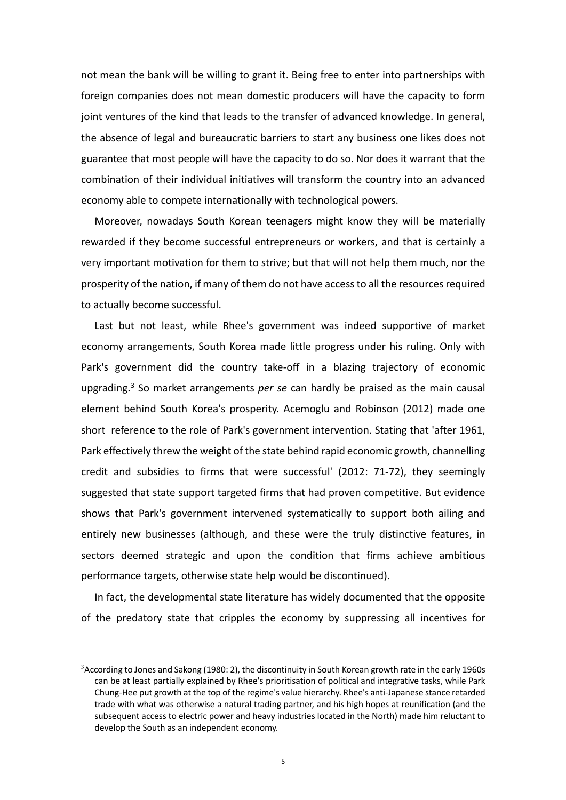not mean the bank will be willing to grant it. Being free to enter into partnerships with foreign companies does not mean domestic producers will have the capacity to form joint ventures of the kind that leads to the transfer of advanced knowledge. In general, the absence of legal and bureaucratic barriers to start any business one likes does not guarantee that most people will have the capacity to do so. Nor does it warrant that the combination of their individual initiatives will transform the country into an advanced economy able to compete internationally with technological powers.

Moreover, nowadays South Korean teenagers might know they will be materially rewarded if they become successful entrepreneurs or workers, and that is certainly a very important motivation for them to strive; but that will not help them much, nor the prosperity of the nation, if many of them do not have access to all the resources required to actually become successful.

Last but not least, while Rhee's government was indeed supportive of market economy arrangements, South Korea made little progress under his ruling. Only with Park's government did the country take-off in a blazing trajectory of economic upgrading.3 So market arrangements *per se* can hardly be praised as the main causal element behind South Korea's prosperity. Acemoglu and Robinson (2012) made one short reference to the role of Park's government intervention. Stating that 'after 1961, Park effectively threw the weight of the state behind rapid economic growth, channelling credit and subsidies to firms that were successful' (2012: 71-72), they seemingly suggested that state support targeted firms that had proven competitive. But evidence shows that Park's government intervened systematically to support both ailing and entirely new businesses (although, and these were the truly distinctive features, in sectors deemed strategic and upon the condition that firms achieve ambitious performance targets, otherwise state help would be discontinued).

In fact, the developmental state literature has widely documented that the opposite of the predatory state that cripples the economy by suppressing all incentives for

 $3$ According to Jones and Sakong (1980: 2), the discontinuity in South Korean growth rate in the early 1960s can be at least partially explained by Rhee's prioritisation of political and integrative tasks, while Park Chung-Hee put growth at the top of the regime's value hierarchy. Rhee's anti-Japanese stance retarded trade with what was otherwise a natural trading partner, and his high hopes at reunification (and the subsequent access to electric power and heavy industries located in the North) made him reluctant to develop the South as an independent economy.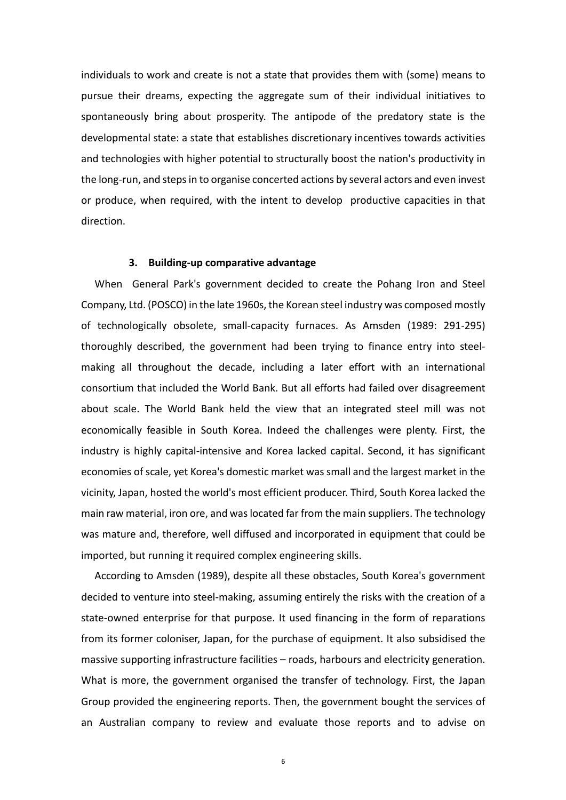individuals to work and create is not a state that provides them with (some) means to pursue their dreams, expecting the aggregate sum of their individual initiatives to spontaneously bring about prosperity. The antipode of the predatory state is the developmental state: a state that establishes discretionary incentives towards activities and technologies with higher potential to structurally boost the nation's productivity in the long-run, and steps in to organise concerted actions by several actors and even invest or produce, when required, with the intent to develop productive capacities in that direction.

## **3. Building-up comparative advantage**

When General Park's government decided to create the Pohang Iron and Steel Company, Ltd. (POSCO) in the late 1960s, the Korean steel industry was composed mostly of technologically obsolete, small-capacity furnaces. As Amsden (1989: 291-295) thoroughly described, the government had been trying to finance entry into steelmaking all throughout the decade, including a later effort with an international consortium that included the World Bank. But all efforts had failed over disagreement about scale. The World Bank held the view that an integrated steel mill was not economically feasible in South Korea. Indeed the challenges were plenty. First, the industry is highly capital-intensive and Korea lacked capital. Second, it has significant economies of scale, yet Korea's domestic market was small and the largest market in the vicinity, Japan, hosted the world's most efficient producer. Third, South Korea lacked the main raw material, iron ore, and was located far from the main suppliers. The technology was mature and, therefore, well diffused and incorporated in equipment that could be imported, but running it required complex engineering skills.

According to Amsden (1989), despite all these obstacles, South Korea's government decided to venture into steel-making, assuming entirely the risks with the creation of a state-owned enterprise for that purpose. It used financing in the form of reparations from its former coloniser, Japan, for the purchase of equipment. It also subsidised the massive supporting infrastructure facilities – roads, harbours and electricity generation. What is more, the government organised the transfer of technology. First, the Japan Group provided the engineering reports. Then, the government bought the services of an Australian company to review and evaluate those reports and to advise on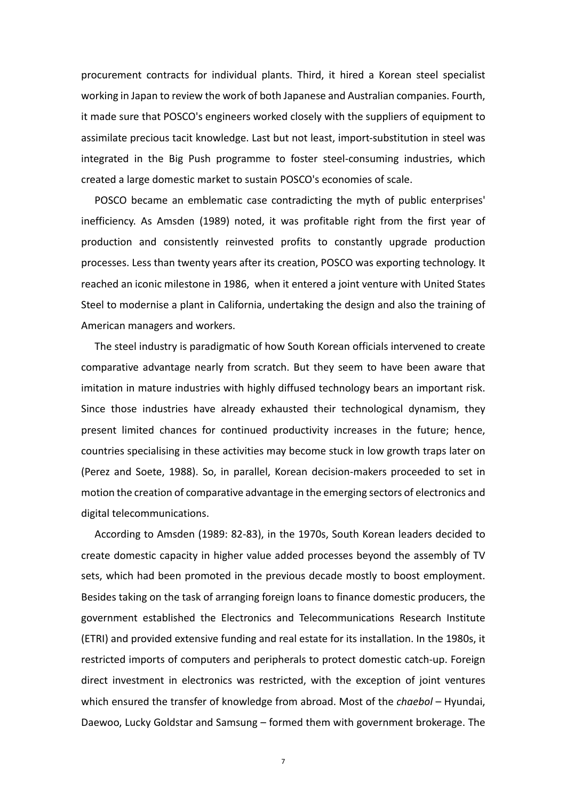procurement contracts for individual plants. Third, it hired a Korean steel specialist working in Japan to review the work of both Japanese and Australian companies. Fourth, it made sure that POSCO's engineers worked closely with the suppliers of equipment to assimilate precious tacit knowledge. Last but not least, import-substitution in steel was integrated in the Big Push programme to foster steel-consuming industries, which created a large domestic market to sustain POSCO's economies of scale.

POSCO became an emblematic case contradicting the myth of public enterprises' inefficiency. As Amsden (1989) noted, it was profitable right from the first year of production and consistently reinvested profits to constantly upgrade production processes. Less than twenty years after its creation, POSCO was exporting technology. It reached an iconic milestone in 1986, when it entered a joint venture with United States Steel to modernise a plant in California, undertaking the design and also the training of American managers and workers.

The steel industry is paradigmatic of how South Korean officials intervened to create comparative advantage nearly from scratch. But they seem to have been aware that imitation in mature industries with highly diffused technology bears an important risk. Since those industries have already exhausted their technological dynamism, they present limited chances for continued productivity increases in the future; hence, countries specialising in these activities may become stuck in low growth traps later on (Perez and Soete, 1988). So, in parallel, Korean decision-makers proceeded to set in motion the creation of comparative advantage in the emerging sectors of electronics and digital telecommunications.

According to Amsden (1989: 82-83), in the 1970s, South Korean leaders decided to create domestic capacity in higher value added processes beyond the assembly of TV sets, which had been promoted in the previous decade mostly to boost employment. Besides taking on the task of arranging foreign loans to finance domestic producers, the government established the Electronics and Telecommunications Research Institute (ETRI) and provided extensive funding and real estate for its installation. In the 1980s, it restricted imports of computers and peripherals to protect domestic catch-up. Foreign direct investment in electronics was restricted, with the exception of joint ventures which ensured the transfer of knowledge from abroad. Most of the *chaebol* – Hyundai, Daewoo, Lucky Goldstar and Samsung – formed them with government brokerage. The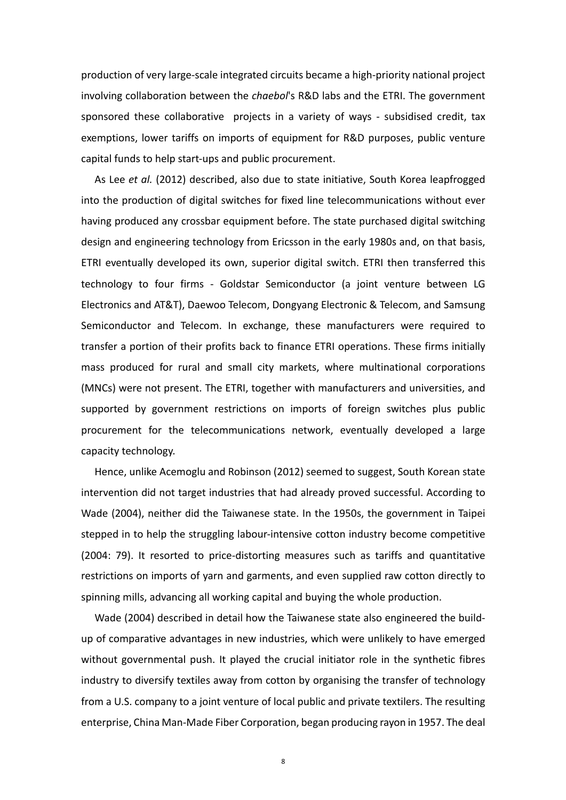production of very large-scale integrated circuits became a high-priority national project involving collaboration between the *chaebol*'s R&D labs and the ETRI. The government sponsored these collaborative projects in a variety of ways - subsidised credit, tax exemptions, lower tariffs on imports of equipment for R&D purposes, public venture capital funds to help start-ups and public procurement.

As Lee *et al.* (2012) described, also due to state initiative, South Korea leapfrogged into the production of digital switches for fixed line telecommunications without ever having produced any crossbar equipment before. The state purchased digital switching design and engineering technology from Ericsson in the early 1980s and, on that basis, ETRI eventually developed its own, superior digital switch. ETRI then transferred this technology to four firms - Goldstar Semiconductor (a joint venture between LG Electronics and AT&T), Daewoo Telecom, Dongyang Electronic & Telecom, and Samsung Semiconductor and Telecom. In exchange, these manufacturers were required to transfer a portion of their profits back to finance ETRI operations. These firms initially mass produced for rural and small city markets, where multinational corporations (MNCs) were not present. The ETRI, together with manufacturers and universities, and supported by government restrictions on imports of foreign switches plus public procurement for the telecommunications network, eventually developed a large capacity technology.

Hence, unlike Acemoglu and Robinson (2012) seemed to suggest, South Korean state intervention did not target industries that had already proved successful. According to Wade (2004), neither did the Taiwanese state. In the 1950s, the government in Taipei stepped in to help the struggling labour-intensive cotton industry become competitive (2004: 79). It resorted to price-distorting measures such as tariffs and quantitative restrictions on imports of yarn and garments, and even supplied raw cotton directly to spinning mills, advancing all working capital and buying the whole production.

Wade (2004) described in detail how the Taiwanese state also engineered the buildup of comparative advantages in new industries, which were unlikely to have emerged without governmental push. It played the crucial initiator role in the synthetic fibres industry to diversify textiles away from cotton by organising the transfer of technology from a U.S. company to a joint venture of local public and private textilers. The resulting enterprise, China Man-Made Fiber Corporation, began producing rayon in 1957. The deal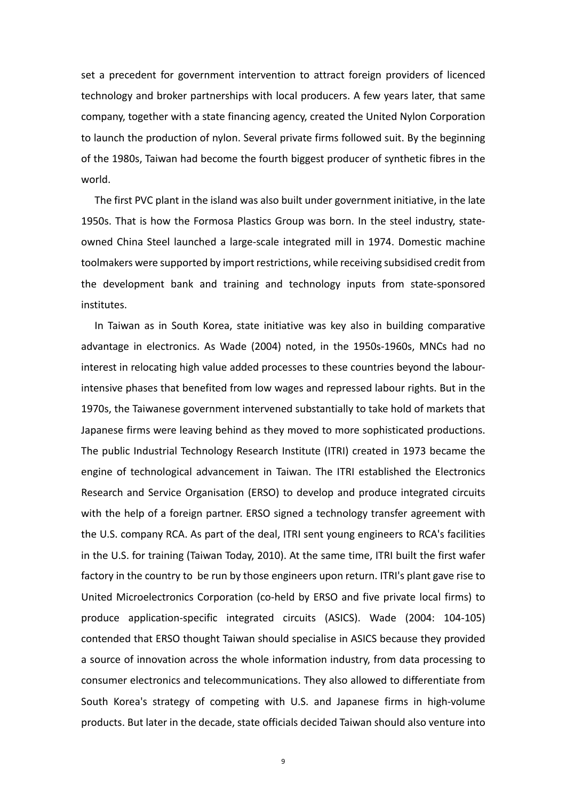set a precedent for government intervention to attract foreign providers of licenced technology and broker partnerships with local producers. A few years later, that same company, together with a state financing agency, created the United Nylon Corporation to launch the production of nylon. Several private firms followed suit. By the beginning of the 1980s, Taiwan had become the fourth biggest producer of synthetic fibres in the world.

The first PVC plant in the island was also built under government initiative, in the late 1950s. That is how the Formosa Plastics Group was born. In the steel industry, stateowned China Steel launched a large-scale integrated mill in 1974. Domestic machine toolmakers were supported by import restrictions, while receiving subsidised credit from the development bank and training and technology inputs from state-sponsored institutes.

In Taiwan as in South Korea, state initiative was key also in building comparative advantage in electronics. As Wade (2004) noted, in the 1950s-1960s, MNCs had no interest in relocating high value added processes to these countries beyond the labourintensive phases that benefited from low wages and repressed labour rights. But in the 1970s, the Taiwanese government intervened substantially to take hold of markets that Japanese firms were leaving behind as they moved to more sophisticated productions. The public Industrial Technology Research Institute (ITRI) created in 1973 became the engine of technological advancement in Taiwan. The ITRI established the Electronics Research and Service Organisation (ERSO) to develop and produce integrated circuits with the help of a foreign partner. ERSO signed a technology transfer agreement with the U.S. company RCA. As part of the deal, ITRI sent young engineers to RCA's facilities in the U.S. for training (Taiwan Today, 2010). At the same time, ITRI built the first wafer factory in the country to be run by those engineers upon return. ITRI's plant gave rise to United Microelectronics Corporation (co-held by ERSO and five private local firms) to produce application-specific integrated circuits (ASICS). Wade (2004: 104-105) contended that ERSO thought Taiwan should specialise in ASICS because they provided a source of innovation across the whole information industry, from data processing to consumer electronics and telecommunications. They also allowed to differentiate from South Korea's strategy of competing with U.S. and Japanese firms in high-volume products. But later in the decade, state officials decided Taiwan should also venture into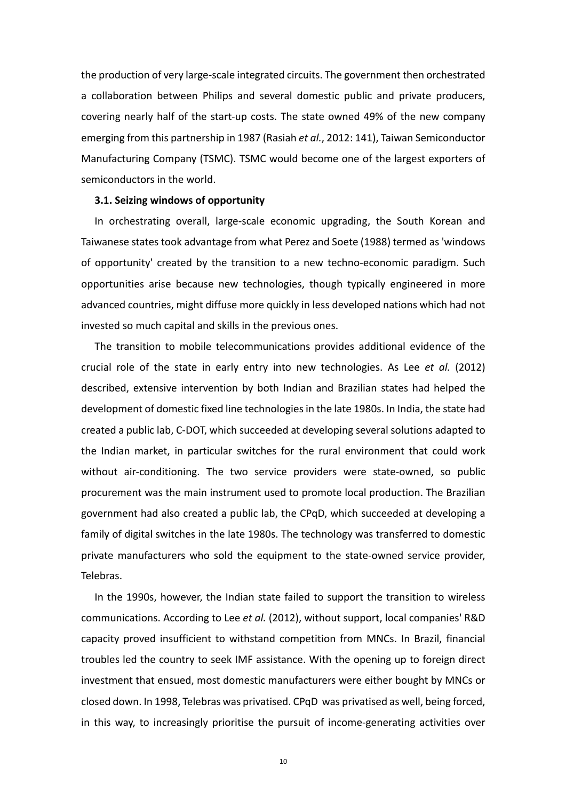the production of very large-scale integrated circuits. The government then orchestrated a collaboration between Philips and several domestic public and private producers, covering nearly half of the start-up costs. The state owned 49% of the new company emerging from this partnership in 1987 (Rasiah *et al.*, 2012: 141), Taiwan Semiconductor Manufacturing Company (TSMC). TSMC would become one of the largest exporters of semiconductors in the world.

## **3.1. Seizing windows of opportunity**

In orchestrating overall, large-scale economic upgrading, the South Korean and Taiwanese states took advantage from what Perez and Soete (1988) termed as 'windows of opportunity' created by the transition to a new techno-economic paradigm. Such opportunities arise because new technologies, though typically engineered in more advanced countries, might diffuse more quickly in less developed nations which had not invested so much capital and skills in the previous ones.

The transition to mobile telecommunications provides additional evidence of the crucial role of the state in early entry into new technologies. As Lee *et al.* (2012) described, extensive intervention by both Indian and Brazilian states had helped the development of domestic fixed line technologies in the late 1980s. In India, the state had created a public lab, C-DOT, which succeeded at developing several solutions adapted to the Indian market, in particular switches for the rural environment that could work without air-conditioning. The two service providers were state-owned, so public procurement was the main instrument used to promote local production. The Brazilian government had also created a public lab, the CPqD, which succeeded at developing a family of digital switches in the late 1980s. The technology was transferred to domestic private manufacturers who sold the equipment to the state-owned service provider, Telebras.

In the 1990s, however, the Indian state failed to support the transition to wireless communications. According to Lee *et al.* (2012), without support, local companies' R&D capacity proved insufficient to withstand competition from MNCs. In Brazil, financial troubles led the country to seek IMF assistance. With the opening up to foreign direct investment that ensued, most domestic manufacturers were either bought by MNCs or closed down. In 1998, Telebras was privatised. CPqD was privatised as well, being forced, in this way, to increasingly prioritise the pursuit of income-generating activities over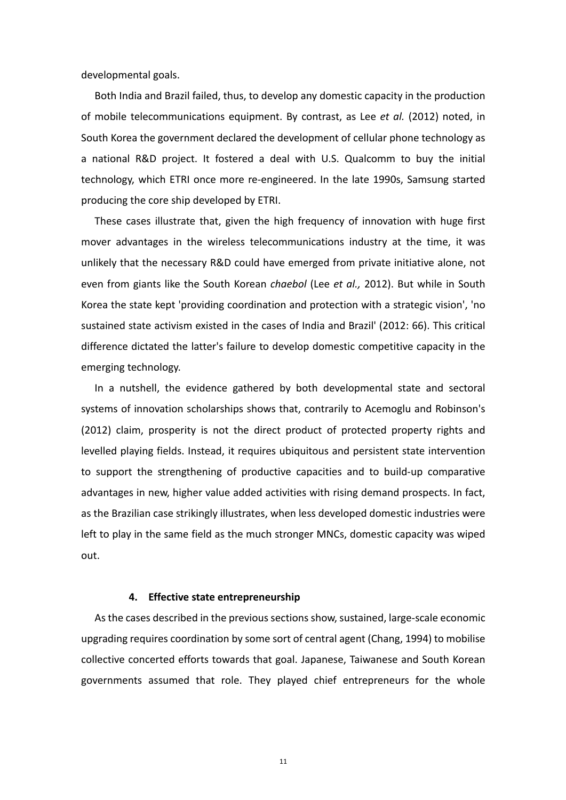developmental goals.

Both India and Brazil failed, thus, to develop any domestic capacity in the production of mobile telecommunications equipment. By contrast, as Lee *et al.* (2012) noted, in South Korea the government declared the development of cellular phone technology as a national R&D project. It fostered a deal with U.S. Qualcomm to buy the initial technology, which ETRI once more re-engineered. In the late 1990s, Samsung started producing the core ship developed by ETRI.

These cases illustrate that, given the high frequency of innovation with huge first mover advantages in the wireless telecommunications industry at the time, it was unlikely that the necessary R&D could have emerged from private initiative alone, not even from giants like the South Korean *chaebol* (Lee *et al.,* 2012). But while in South Korea the state kept 'providing coordination and protection with a strategic vision', 'no sustained state activism existed in the cases of India and Brazil' (2012: 66). This critical difference dictated the latter's failure to develop domestic competitive capacity in the emerging technology.

In a nutshell, the evidence gathered by both developmental state and sectoral systems of innovation scholarships shows that, contrarily to Acemoglu and Robinson's (2012) claim, prosperity is not the direct product of protected property rights and levelled playing fields. Instead, it requires ubiquitous and persistent state intervention to support the strengthening of productive capacities and to build-up comparative advantages in new, higher value added activities with rising demand prospects. In fact, as the Brazilian case strikingly illustrates, when less developed domestic industries were left to play in the same field as the much stronger MNCs, domestic capacity was wiped out.

### **4. Effective state entrepreneurship**

As the cases described in the previous sections show, sustained, large-scale economic upgrading requires coordination by some sort of central agent (Chang, 1994) to mobilise collective concerted efforts towards that goal. Japanese, Taiwanese and South Korean governments assumed that role. They played chief entrepreneurs for the whole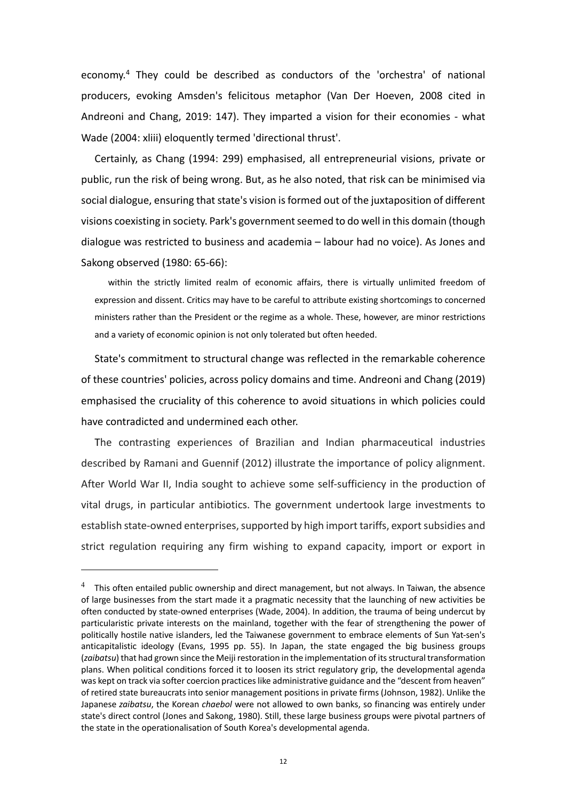economy.4 They could be described as conductors of the 'orchestra' of national producers, evoking Amsden's felicitous metaphor (Van Der Hoeven, 2008 cited in Andreoni and Chang, 2019: 147). They imparted a vision for their economies - what Wade (2004: xliii) eloquently termed 'directional thrust'.

Certainly, as Chang (1994: 299) emphasised, all entrepreneurial visions, private or public, run the risk of being wrong. But, as he also noted, that risk can be minimised via social dialogue, ensuring that state's vision is formed out of the juxtaposition of different visions coexisting in society. Park's government seemed to do well in this domain (though dialogue was restricted to business and academia – labour had no voice). As Jones and Sakong observed (1980: 65-66):

within the strictly limited realm of economic affairs, there is virtually unlimited freedom of expression and dissent. Critics may have to be careful to attribute existing shortcomings to concerned ministers rather than the President or the regime as a whole. These, however, are minor restrictions and a variety of economic opinion is not only tolerated but often heeded.

State's commitment to structural change was reflected in the remarkable coherence of these countries' policies, across policy domains and time. Andreoni and Chang (2019) emphasised the cruciality of this coherence to avoid situations in which policies could have contradicted and undermined each other.

The contrasting experiences of Brazilian and Indian pharmaceutical industries described by Ramani and Guennif (2012) illustrate the importance of policy alignment. After World War II, India sought to achieve some self-sufficiency in the production of vital drugs, in particular antibiotics. The government undertook large investments to establish state-owned enterprises, supported by high import tariffs, export subsidies and strict regulation requiring any firm wishing to expand capacity, import or export in

 $4$  This often entailed public ownership and direct management, but not always. In Taiwan, the absence of large businesses from the start made it a pragmatic necessity that the launching of new activities be often conducted by state-owned enterprises (Wade, 2004). In addition, the trauma of being undercut by particularistic private interests on the mainland, together with the fear of strengthening the power of politically hostile native islanders, led the Taiwanese government to embrace elements of Sun Yat-sen's anticapitalistic ideology (Evans, 1995 pp. 55). In Japan, the state engaged the big business groups (*zaibatsu*) that had grown since the Meiji restoration in the implementation of its structural transformation plans. When political conditions forced it to loosen its strict regulatory grip, the developmental agenda was kept on track via softer coercion practices like administrative guidance and the "descent from heaven" of retired state bureaucrats into senior management positions in private firms (Johnson, 1982). Unlike the Japanese *zaibatsu*, the Korean *chaebol* were not allowed to own banks, so financing was entirely under state's direct control (Jones and Sakong, 1980). Still, these large business groups were pivotal partners of the state in the operationalisation of South Korea's developmental agenda.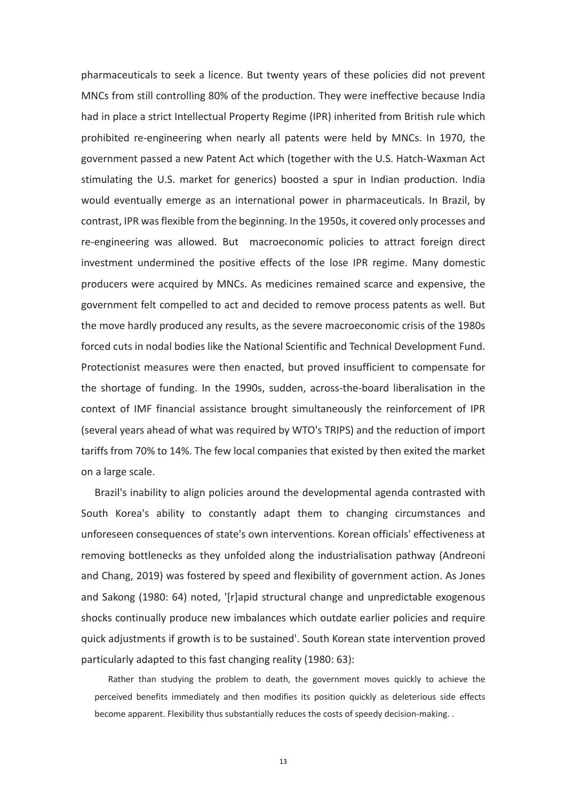pharmaceuticals to seek a licence. But twenty years of these policies did not prevent MNCs from still controlling 80% of the production. They were ineffective because India had in place a strict Intellectual Property Regime (IPR) inherited from British rule which prohibited re-engineering when nearly all patents were held by MNCs. In 1970, the government passed a new Patent Act which (together with the U.S. Hatch-Waxman Act stimulating the U.S. market for generics) boosted a spur in Indian production. India would eventually emerge as an international power in pharmaceuticals. In Brazil, by contrast, IPR was flexible from the beginning. In the 1950s, it covered only processes and re-engineering was allowed. But macroeconomic policies to attract foreign direct investment undermined the positive effects of the lose IPR regime. Many domestic producers were acquired by MNCs. As medicines remained scarce and expensive, the government felt compelled to act and decided to remove process patents as well. But the move hardly produced any results, as the severe macroeconomic crisis of the 1980s forced cuts in nodal bodies like the National Scientific and Technical Development Fund. Protectionist measures were then enacted, but proved insufficient to compensate for the shortage of funding. In the 1990s, sudden, across-the-board liberalisation in the context of IMF financial assistance brought simultaneously the reinforcement of IPR (several years ahead of what was required by WTO's TRIPS) and the reduction of import tariffs from 70% to 14%. The few local companies that existed by then exited the market on a large scale.

Brazil's inability to align policies around the developmental agenda contrasted with South Korea's ability to constantly adapt them to changing circumstances and unforeseen consequences of state's own interventions. Korean officials' effectiveness at removing bottlenecks as they unfolded along the industrialisation pathway (Andreoni and Chang, 2019) was fostered by speed and flexibility of government action. As Jones and Sakong (1980: 64) noted, '[r]apid structural change and unpredictable exogenous shocks continually produce new imbalances which outdate earlier policies and require quick adjustments if growth is to be sustained'. South Korean state intervention proved particularly adapted to this fast changing reality (1980: 63):

Rather than studying the problem to death, the government moves quickly to achieve the perceived benefits immediately and then modifies its position quickly as deleterious side effects become apparent. Flexibility thus substantially reduces the costs of speedy decision-making. .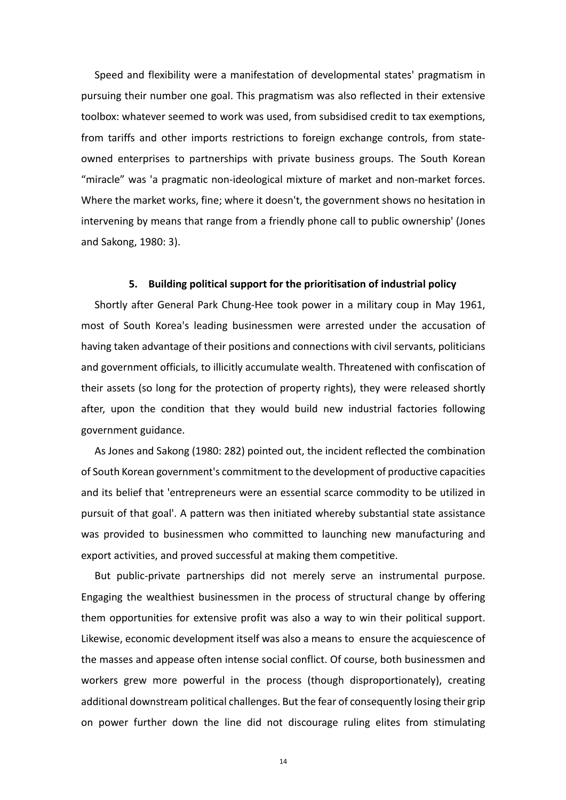Speed and flexibility were a manifestation of developmental states' pragmatism in pursuing their number one goal. This pragmatism was also reflected in their extensive toolbox: whatever seemed to work was used, from subsidised credit to tax exemptions, from tariffs and other imports restrictions to foreign exchange controls, from stateowned enterprises to partnerships with private business groups. The South Korean "miracle" was 'a pragmatic non-ideological mixture of market and non-market forces. Where the market works, fine; where it doesn't, the government shows no hesitation in intervening by means that range from a friendly phone call to public ownership' (Jones and Sakong, 1980: 3).

### **5. Building political support for the prioritisation of industrial policy**

Shortly after General Park Chung-Hee took power in a military coup in May 1961, most of South Korea's leading businessmen were arrested under the accusation of having taken advantage of their positions and connections with civil servants, politicians and government officials, to illicitly accumulate wealth. Threatened with confiscation of their assets (so long for the protection of property rights), they were released shortly after, upon the condition that they would build new industrial factories following government guidance.

As Jones and Sakong (1980: 282) pointed out, the incident reflected the combination of South Korean government's commitment to the development of productive capacities and its belief that 'entrepreneurs were an essential scarce commodity to be utilized in pursuit of that goal'. A pattern was then initiated whereby substantial state assistance was provided to businessmen who committed to launching new manufacturing and export activities, and proved successful at making them competitive.

But public-private partnerships did not merely serve an instrumental purpose. Engaging the wealthiest businessmen in the process of structural change by offering them opportunities for extensive profit was also a way to win their political support. Likewise, economic development itself was also a means to ensure the acquiescence of the masses and appease often intense social conflict. Of course, both businessmen and workers grew more powerful in the process (though disproportionately), creating additional downstream political challenges. But the fear of consequently losing their grip on power further down the line did not discourage ruling elites from stimulating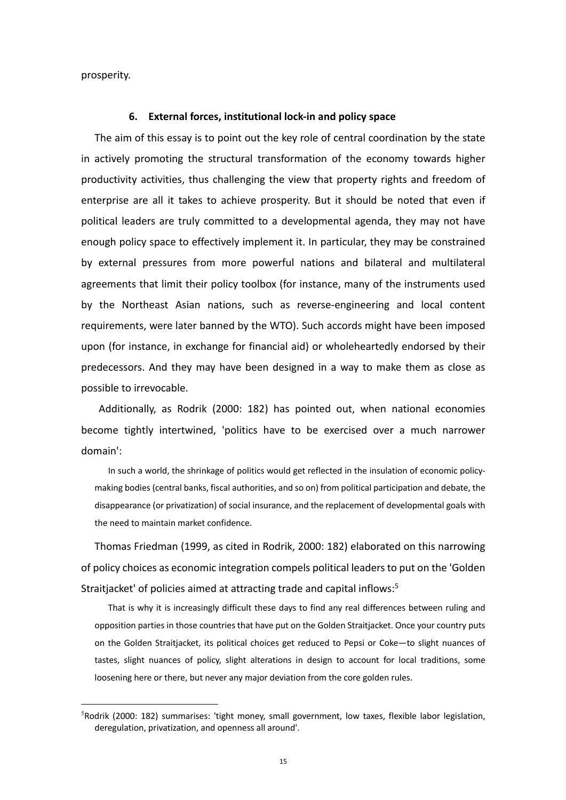prosperity.

#### **6. External forces, institutional lock-in and policy space**

The aim of this essay is to point out the key role of central coordination by the state in actively promoting the structural transformation of the economy towards higher productivity activities, thus challenging the view that property rights and freedom of enterprise are all it takes to achieve prosperity. But it should be noted that even if political leaders are truly committed to a developmental agenda, they may not have enough policy space to effectively implement it. In particular, they may be constrained by external pressures from more powerful nations and bilateral and multilateral agreements that limit their policy toolbox (for instance, many of the instruments used by the Northeast Asian nations, such as reverse-engineering and local content requirements, were later banned by the WTO). Such accords might have been imposed upon (for instance, in exchange for financial aid) or wholeheartedly endorsed by their predecessors. And they may have been designed in a way to make them as close as possible to irrevocable.

Additionally, as Rodrik (2000: 182) has pointed out, when national economies become tightly intertwined, 'politics have to be exercised over a much narrower domain':

In such a world, the shrinkage of politics would get reflected in the insulation of economic policymaking bodies (central banks, fiscal authorities, and so on) from political participation and debate, the disappearance (or privatization) of social insurance, and the replacement of developmental goals with the need to maintain market confidence.

Thomas Friedman (1999, as cited in Rodrik, 2000: 182) elaborated on this narrowing of policy choices as economic integration compels political leaders to put on the 'Golden Straitiacket' of policies aimed at attracting trade and capital inflows:<sup>5</sup>

That is why it is increasingly difficult these days to find any real differences between ruling and opposition parties in those countries that have put on the Golden Straitjacket. Once your country puts on the Golden Straitjacket, its political choices get reduced to Pepsi or Coke—to slight nuances of tastes, slight nuances of policy, slight alterations in design to account for local traditions, some loosening here or there, but never any major deviation from the core golden rules.

<sup>5</sup> Rodrik (2000: 182) summarises: 'tight money, small government, low taxes, flexible labor legislation, deregulation, privatization, and openness all around'.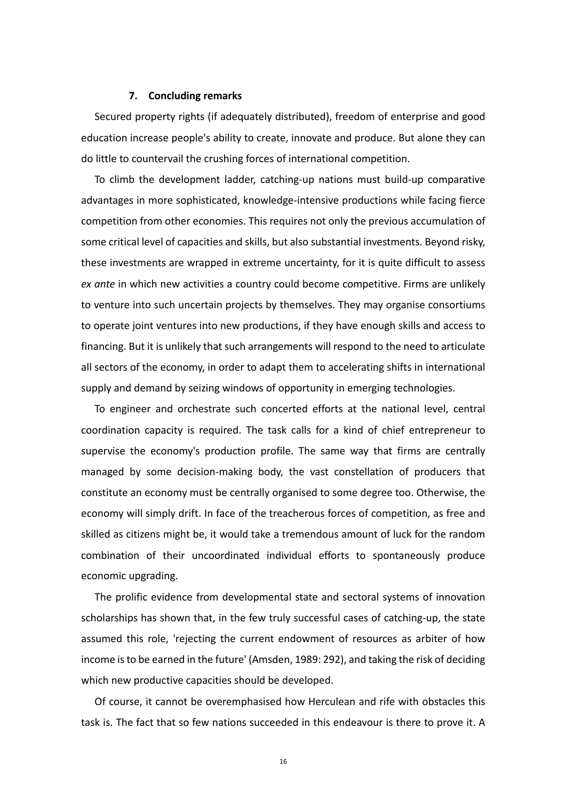#### **7. Concluding remarks**

Secured property rights (if adequately distributed), freedom of enterprise and good education increase people's ability to create, innovate and produce. But alone they can do little to countervail the crushing forces of international competition.

To climb the development ladder, catching-up nations must build-up comparative advantages in more sophisticated, knowledge-intensive productions while facing fierce competition from other economies. This requires not only the previous accumulation of some critical level of capacities and skills, but also substantial investments. Beyond risky, these investments are wrapped in extreme uncertainty, for it is quite difficult to assess *ex ante* in which new activities a country could become competitive. Firms are unlikely to venture into such uncertain projects by themselves. They may organise consortiums to operate joint ventures into new productions, if they have enough skills and access to financing. But it is unlikely that such arrangements will respond to the need to articulate all sectors of the economy, in order to adapt them to accelerating shifts in international supply and demand by seizing windows of opportunity in emerging technologies.

To engineer and orchestrate such concerted efforts at the national level, central coordination capacity is required. The task calls for a kind of chief entrepreneur to supervise the economy's production profile. The same way that firms are centrally managed by some decision-making body, the vast constellation of producers that constitute an economy must be centrally organised to some degree too. Otherwise, the economy will simply drift. In face of the treacherous forces of competition, as free and skilled as citizens might be, it would take a tremendous amount of luck for the random combination of their uncoordinated individual efforts to spontaneously produce economic upgrading.

The prolific evidence from developmental state and sectoral systems of innovation scholarships has shown that, in the few truly successful cases of catching-up, the state assumed this role, 'rejecting the current endowment of resources as arbiter of how income is to be earned in the future' (Amsden, 1989: 292), and taking the risk of deciding which new productive capacities should be developed.

Of course, it cannot be overemphasised how Herculean and rife with obstacles this task is. The fact that so few nations succeeded in this endeavour is there to prove it. A